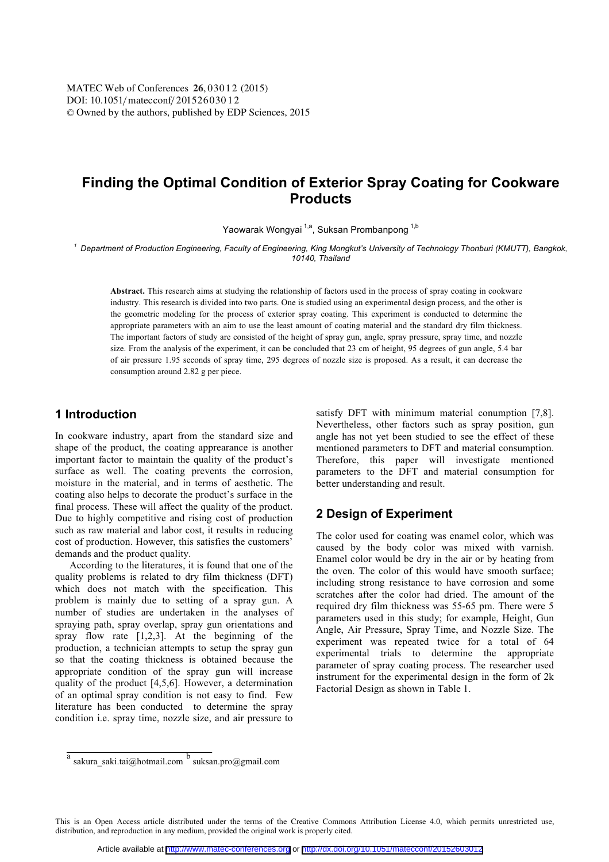DOI: 10.1051/ matecconf/ 20152603012 -<sup>C</sup> Owned by the authors, published by EDP Sciences, 2015 MATEC Web of Conferences 26,03012 (2015)

# **Finding the Optimal Condition of Exterior Spray Coating for Cookware Products**

Yaowarak Wongyai<sup>1,a</sup>, Suksan Prombanpong<sup>1,b</sup>

*<sup>1</sup> Department of Production Engineering, Faculty of Engineering, King Mongkut's University of Technology Thonburi (KMUTT), Bangkok, 10140, Thailand* 

**Abstract.** This research aims at studying the relationship of factors used in the process of spray coating in cookware industry. This research is divided into two parts. One is studied using an experimental design process, and the other is the geometric modeling for the process of exterior spray coating. This experiment is conducted to determine the appropriate parameters with an aim to use the least amount of coating material and the standard dry film thickness. The important factors of study are consisted of the height of spray gun, angle, spray pressure, spray time, and nozzle size. From the analysis of the experiment, it can be concluded that 23 cm of height, 95 degrees of gun angle, 5.4 bar of air pressure 1.95 seconds of spray time, 295 degrees of nozzle size is proposed. As a result, it can decrease the consumption around 2.82 g per piece.

## **1 Introduction**

In cookware industry, apart from the standard size and shape of the product, the coating apprearance is another important factor to maintain the quality of the product's surface as well. The coating prevents the corrosion, moisture in the material, and in terms of aesthetic. The coating also helps to decorate the product's surface in the final process. These will affect the quality of the product. Due to highly competitive and rising cost of production such as raw material and labor cost, it results in reducing cost of production. However, this satisfies the customers' demands and the product quality.

According to the literatures, it is found that one of the quality problems is related to dry film thickness (DFT) which does not match with the specification. This problem is mainly due to setting of a spray gun. A number of studies are undertaken in the analyses of spraying path, spray overlap, spray gun orientations and spray flow rate [1,2,3]. At the beginning of the production, a technician attempts to setup the spray gun so that the coating thickness is obtained because the appropriate condition of the spray gun will increase quality of the product [4,5,6]. However, a determination of an optimal spray condition is not easy to find. Few literature has been conducted to determine the spray condition i.e. spray time, nozzle size, and air pressure to

satisfy DFT with minimum material conumption [7,8]. Nevertheless, other factors such as spray position, gun angle has not yet been studied to see the effect of these mentioned parameters to DFT and material consumption. Therefore, this paper will investigate mentioned parameters to the DFT and material consumption for better understanding and result.

## **2 Design of Experiment**

The color used for coating was enamel color, which was caused by the body color was mixed with varnish. Enamel color would be dry in the air or by heating from the oven. The color of this would have smooth surface; including strong resistance to have corrosion and some scratches after the color had dried. The amount of the required dry film thickness was 55-65 pm. There were 5 parameters used in this study; for example, Height, Gun Angle, Air Pressure, Spray Time, and Nozzle Size. The experiment was repeated twice for a total of 64 experimental trials to determine the appropriate parameter of spray coating process. The researcher used instrument for the experimental design in the form of 2k Factorial Design as shown in Table 1.

This is an Open Access article distributed under the terms of the Creative Commons Attribution License 4.0, which permits unrestricted use, distribution, and reproduction in any medium, provided the original work is properly cited.

<sup>&</sup>lt;sup>a</sup> sakura\_saki.tai@hotmail.com <sup>b</sup> suksan.pro@gmail.com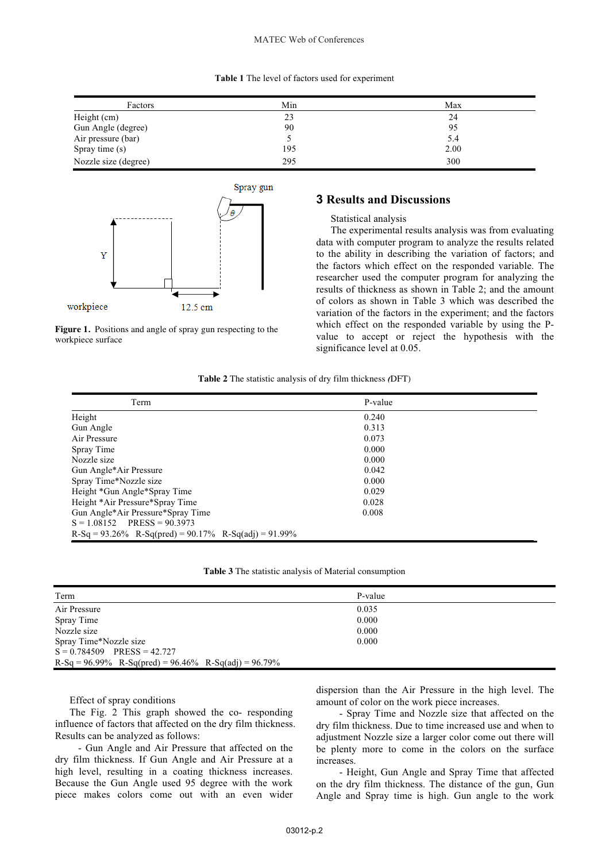#### MATEC Web of Conferences

#### **Table 1** The level of factors used for experiment

| Factors              | Min | Max  |
|----------------------|-----|------|
| Height (cm)          | 23  | 24   |
| Gun Angle (degree)   | 90  | 95   |
| Air pressure (bar)   |     | 5.4  |
| Spray time (s)       | 195 | 2.00 |
| Nozzle size (degree) | 295 | 300  |





### **3 Results and Discussions**

#### Statistical analysis

The experimental results analysis was from evaluating data with computer program to analyze the results related to the ability in describing the variation of factors; and the factors which effect on the responded variable. The researcher used the computer program for analyzing the results of thickness as shown in Table 2; and the amount of colors as shown in Table 3 which was described the variation of the factors in the experiment; and the factors which effect on the responded variable by using the Pvalue to accept or reject the hypothesis with the significance level at 0.05.

#### **Table 2** The statistic analysis of dry film thickness *(*DFT)

| Term                                                          | P-value |
|---------------------------------------------------------------|---------|
| Height                                                        | 0.240   |
| Gun Angle                                                     | 0.313   |
| Air Pressure                                                  | 0.073   |
| Spray Time                                                    | 0.000   |
| Nozzle size                                                   | 0.000   |
| Gun Angle*Air Pressure                                        | 0.042   |
| Spray Time*Nozzle size                                        | 0.000   |
| Height *Gun Angle*Spray Time                                  | 0.029   |
| Height *Air Pressure*Spray Time                               | 0.028   |
| Gun Angle*Air Pressure*Spray Time                             | 0.008   |
| $S = 1.08152$ PRESS = 90.3973                                 |         |
| $R-Sq = 93.26\%$ $R-Sq(pred) = 90.17\%$ $R-Sq(adj) = 91.99\%$ |         |

**Table 3** The statistic analysis of Material consumption

| Term                                                          | P-value |
|---------------------------------------------------------------|---------|
| Air Pressure                                                  | 0.035   |
| Spray Time                                                    | 0.000   |
| Nozzle size                                                   | 0.000   |
| Spray Time*Nozzle size                                        | 0.000   |
| $S = 0.784509$ PRESS = 42.727                                 |         |
| $R-Sq = 96.99\%$ $R-Sq(pred) = 96.46\%$ $R-Sq(adj) = 96.79\%$ |         |

#### Effect of spray conditions

The Fig. 2 This graph showed the co- responding influence of factors that affected on the dry film thickness. Results can be analyzed as follows:

 - Gun Angle and Air Pressure that affected on the dry film thickness. If Gun Angle and Air Pressure at a high level, resulting in a coating thickness increases. Because the Gun Angle used 95 degree with the work piece makes colors come out with an even wider dispersion than the Air Pressure in the high level. The amount of color on the work piece increases.

 - Spray Time and Nozzle size that affected on the dry film thickness. Due to time increased use and when to adjustment Nozzle size a larger color come out there will be plenty more to come in the colors on the surface increases.

 - Height, Gun Angle and Spray Time that affected on the dry film thickness. The distance of the gun, Gun Angle and Spray time is high. Gun angle to the work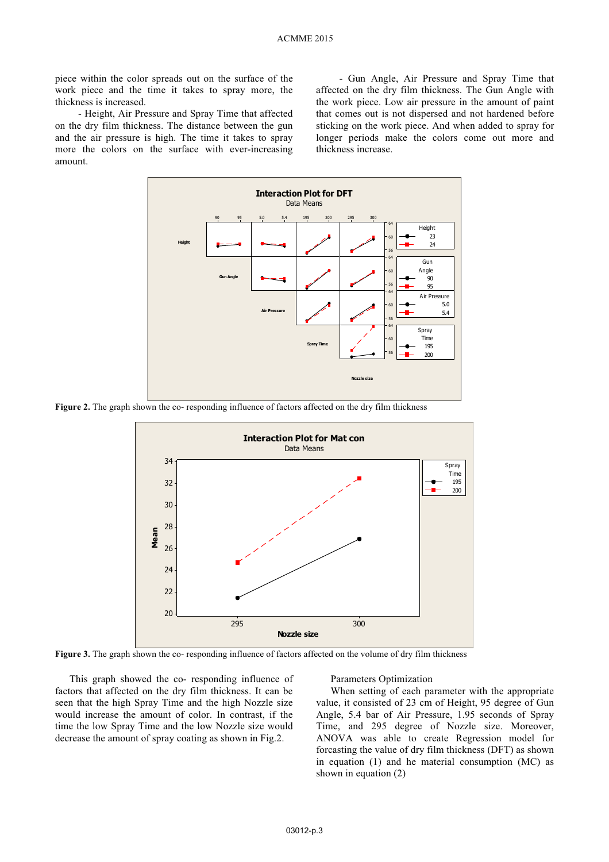piece within the color spreads out on the surface of the work piece and the time it takes to spray more, the thickness is increased.

 - Height, Air Pressure and Spray Time that affected on the dry film thickness. The distance between the gun and the air pressure is high. The time it takes to spray more the colors on the surface with ever-increasing amount.

 - Gun Angle, Air Pressure and Spray Time that affected on the dry film thickness. The Gun Angle with the work piece. Low air pressure in the amount of paint that comes out is not dispersed and not hardened before sticking on the work piece. And when added to spray for longer periods make the colors come out more and thickness increase.



**Figure 2.** The graph shown the co- responding influence of factors affected on the dry film thickness



Figure 3. The graph shown the co- responding influence of factors affected on the volume of dry film thickness

This graph showed the co- responding influence of factors that affected on the dry film thickness. It can be seen that the high Spray Time and the high Nozzle size would increase the amount of color. In contrast, if the time the low Spray Time and the low Nozzle size would decrease the amount of spray coating as shown in Fig.2.

Parameters Optimization

When setting of each parameter with the appropriate value, it consisted of 23 cm of Height, 95 degree of Gun Angle, 5.4 bar of Air Pressure, 1.95 seconds of Spray Time, and 295 degree of Nozzle size. Moreover, ANOVA was able to create Regression model for forcasting the value of dry film thickness (DFT) as shown in equation (1) and he material consumption (MC) as shown in equation (2)